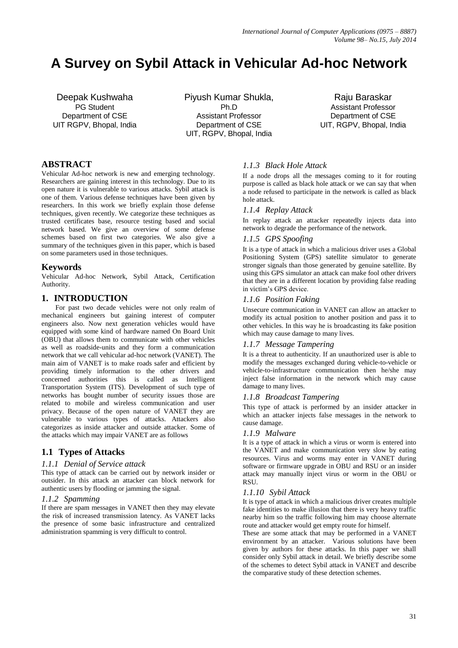# **A Survey on Sybil Attack in Vehicular Ad-hoc Network**

Deepak Kushwaha PG Student Department of CSE UIT RGPV, Bhopal, India Piyush Kumar Shukla, Ph.D Assistant Professor Department of CSE UIT, RGPV, Bhopal, India

Raju Baraskar Assistant Professor Department of CSE UIT, RGPV, Bhopal, India

# **ABSTRACT**

Vehicular Ad-hoc network is new and emerging technology. Researchers are gaining interest in this technology. Due to its open nature it is vulnerable to various attacks. Sybil attack is one of them. Various defense techniques have been given by researchers. In this work we briefly explain those defense techniques, given recently. We categorize these techniques as trusted certificates base, resource testing based and social network based. We give an overview of some defense schemes based on first two categories. We also give a summary of the techniques given in this paper, which is based on some parameters used in those techniques.

# **Keywords**

Vehicular Ad-hoc Network, Sybil Attack, Certification Authority.

# **1. INTRODUCTION**

For past two decade vehicles were not only realm of mechanical engineers but gaining interest of computer engineers also. Now next generation vehicles would have equipped with some kind of hardware named On Board Unit (OBU) that allows them to communicate with other vehicles as well as roadside-units and they form a communication network that we call vehicular ad-hoc network (VANET). The main aim of VANET is to make roads safer and efficient by providing timely information to the other drivers and concerned authorities this is called as Intelligent Transportation System (ITS). Development of such type of networks has bought number of security issues those are related to mobile and wireless communication and user privacy. Because of the open nature of VANET they are vulnerable to various types of attacks. Attackers also categorizes as inside attacker and outside attacker. Some of the attacks which may impair VANET are as follows

# **1.1 Types of Attacks**

#### *1.1.1 Denial of Service attack*

This type of attack can be carried out by network insider or outsider. In this attack an attacker can block network for authentic users by flooding or jamming the signal.

#### *1.1.2 Spamming*

If there are spam messages in VANET then they may elevate the risk of increased transmission latency. As VANET lacks the presence of some basic infrastructure and centralized administration spamming is very difficult to control.

# *1.1.3 Black Hole Attack*

If a node drops all the messages coming to it for routing purpose is called as black hole attack or we can say that when a node refused to participate in the network is called as black hole attack.

#### *1.1.4 Replay Attack*

In replay attack an attacker repeatedly injects data into network to degrade the performance of the network.

#### *1.1.5 GPS Spoofing*

It is a type of attack in which a malicious driver uses a Global Positioning System (GPS) satellite simulator to generate stronger signals than those generated by genuine satellite. By using this GPS simulator an attack can make fool other drivers that they are in a different location by providing false reading in victim's GPS device.

#### *1.1.6 Position Faking*

Unsecure communication in VANET can allow an attacker to modify its actual position to another position and pass it to other vehicles. In this way he is broadcasting its fake position which may cause damage to many lives.

#### *1.1.7 Message Tampering*

It is a threat to authenticity. If an unauthorized user is able to modify the messages exchanged during vehicle-to-vehicle or vehicle-to-infrastructure communication then he/she may inject false information in the network which may cause damage to many lives.

#### *1.1.8 Broadcast Tampering*

This type of attack is performed by an insider attacker in which an attacker injects false messages in the network to cause damage.

#### *1.1.9 Malware*

It is a type of attack in which a virus or worm is entered into the VANET and make communication very slow by eating resources. Virus and worms may enter in VANET during software or firmware upgrade in OBU and RSU or an insider attack may manually inject virus or worm in the OBU or RSU.

#### *1.1.10 Sybil Attack*

It is type of attack in which a malicious driver creates multiple fake identities to make illusion that there is very heavy traffic nearby him so the traffic following him may choose alternate route and attacker would get empty route for himself.

These are some attack that may be performed in a VANET environment by an attacker. Various solutions have been given by authors for these attacks. In this paper we shall consider only Sybil attack in detail. We briefly describe some of the schemes to detect Sybil attack in VANET and describe the comparative study of these detection schemes.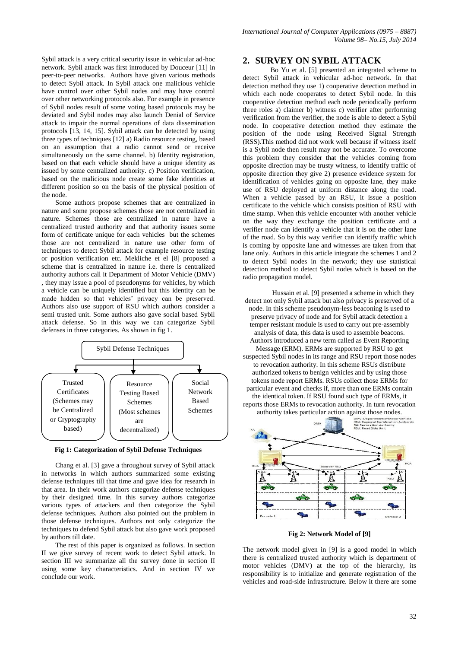Sybil attack is a very critical security issue in vehicular ad-hoc network. Sybil attack was first introduced by Douceur [11] in peer-to-peer networks. Authors have given various methods to detect Sybil attack. In Sybil attack one malicious vehicle have control over other Sybil nodes and may have control over other networking protocols also. For example in presence of Sybil nodes result of some voting based protocols may be deviated and Sybil nodes may also launch Denial of Service attack to impair the normal operations of data dissemination protocols [13, 14, 15]. Sybil attack can be detected by using three types of techniques [12] a) Radio resource testing, based on an assumption that a radio cannot send or receive simultaneously on the same channel. b) Identity registration, based on that each vehicle should have a unique identity as issued by some centralized authority. c) Position verification, based on the malicious node create some fake identities at different position so on the basis of the physical position of the node.

Some authors propose schemes that are centralized in nature and some propose schemes those are not centralized in nature. Schemes those are centralized in nature have a centralized trusted authority and that authority issues some form of certificate unique for each vehicles but the schemes those are not centralized in nature use other form of techniques to detect Sybil attack for example resource testing or position verification etc. Mekliche et el [8] proposed a scheme that is centralized in nature i.e. there is centralized authority authors call it Department of Motor Vehicle (DMV) , they may issue a pool of pseudonyms for vehicles, by which a vehicle can be uniquely identified but this identity can be made hidden so that vehicles' privacy can be preserved. Authors also use support of RSU which authors consider a semi trusted unit. Some authors also gave social based Sybil attack defense. So in this way we can categorize Sybil defenses in three categories. As shown in fig 1.



**Fig 1: Categorization of Sybil Defense Techniques**

Chang et al. [3] gave a throughout survey of Sybil attack in networks in which authors summarized some existing defense techniques till that time and gave idea for research in that area. In their work authors categorize defense techniques by their designed time. In this survey authors categorize various types of attackers and then categorize the Sybil defense techniques. Authors also pointed out the problem in those defense techniques. Authors not only categorize the techniques to defend Sybil attack but also gave work proposed by authors till date.

The rest of this paper is organized as follows. In section II we give survey of recent work to detect Sybil attack. In section III we summarize all the survey done in section II using some key characteristics. And in section IV we conclude our work.

#### **2. SURVEY ON SYBIL ATTACK**

Bo Yu et al. [5] presented an integrated scheme to detect Sybil attack in vehicular ad-hoc network. In that detection method they use 1) cooperative detection method in which each node cooperates to detect Sybil node. In this cooperative detection method each node periodically perform three roles a) claimer b) witness c) verifier after performing verification from the verifier, the node is able to detect a Sybil node. In cooperative detection method they estimate the position of the node using Received Signal Strength (RSS).This method did not work well because if witness itself is a Sybil node then result may not be accurate. To overcome this problem they consider that the vehicles coming from opposite direction may be trusty witness, to identify traffic of opposite direction they give 2) presence evidence system for identification of vehicles going on opposite lane, they make use of RSU deployed at uniform distance along the road. When a vehicle passed by an RSU, it issue a position certificate to the vehicle which consists position of RSU with time stamp. When this vehicle encounter with another vehicle on the way they exchange the position certificate and a verifier node can identify a vehicle that it is on the other lane of the road. So by this way verifier can identify traffic which is coming by opposite lane and witnesses are taken from that lane only. Authors in this article integrate the schemes 1 and 2 to detect Sybil nodes in the network; they use statistical detection method to detect Sybil nodes which is based on the radio propagation model.

Hussain et al. [9] presented a scheme in which they detect not only Sybil attack but also privacy is preserved of a node. In this scheme pseudonym-less beaconing is used to preserve privacy of node and for Sybil attack detection a temper resistant module is used to carry out pre-assembly analysis of data, this data is used to assemble beacons. Authors introduced a new term called as Event Reporting Message (ERM). ERMs are supported by RSU to get suspected Sybil nodes in its range and RSU report those nodes to revocation authority. In this scheme RSUs distribute authorized tokens to benign vehicles and by using those tokens node report ERMs. RSUs collect those ERMs for particular event and checks if, more than one ERMs contain the identical token. If RSU found such type of ERMs, it reports those ERMs to revocation authority. In turn revocation authority takes particular action against those nodes.



**Fig 2: Network Model of [9]**

The network model given in [9] is a good model in which there is centralized trusted authority which is department of motor vehicles (DMV) at the top of the hierarchy, its responsibility is to initialize and generate registration of the vehicles and road-side infrastructure. Below it there are some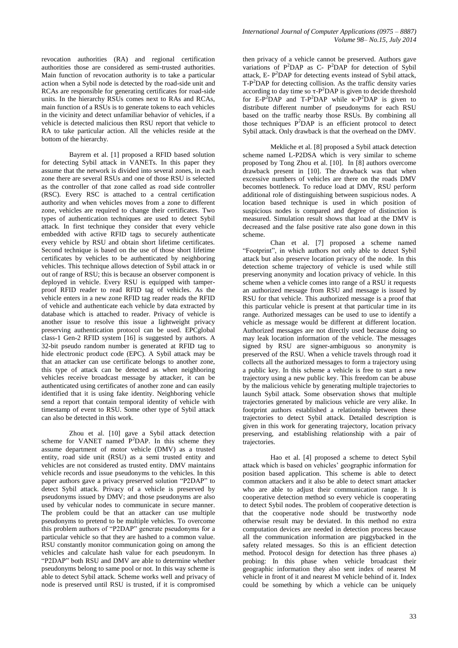revocation authorities (RA) and regional certification authorities those are considered as semi-trusted authorities. Main function of revocation authority is to take a particular action when a Sybil node is detected by the road-side unit and RCAs are responsible for generating certificates for road-side units. In the hierarchy RSUs comes next to RAs and RCAs, main function of a RSUs is to generate tokens to each vehicles in the vicinity and detect unfamiliar behavior of vehicles, if a vehicle is detected malicious then RSU report that vehicle to RA to take particular action. All the vehicles reside at the bottom of the hierarchy.

Bayrem et al. [1] proposed a RFID based solution for detecting Sybil attack in VANETs. In this paper they assume that the network is divided into several zones, in each zone there are several RSUs and one of those RSU is selected as the controller of that zone called as road side controller (RSC). Every RSC is attached to a central certification authority and when vehicles moves from a zone to different zone, vehicles are required to change their certificates. Two types of authentication techniques are used to detect Sybil attack. In first technique they consider that every vehicle embedded with active RFID tags to securely authenticate every vehicle by RSU and obtain short lifetime certificates. Second technique is based on the use of those short lifetime certificates by vehicles to be authenticated by neighboring vehicles. This technique allows detection of Sybil attack in or out of range of RSU; this is because an observer component is deployed in vehicle. Every RSU is equipped with tamperproof RFID reader to read RFID tag of vehicles. As the vehicle enters in a new zone RFID tag reader reads the RFID of vehicle and authenticate each vehicle by data extracted by database which is attached to reader. Privacy of vehicle is another issue to resolve this issue a lightweight privacy preserving authentication protocol can be used. EPCglobal class-1 Gen-2 RFID system [16] is suggested by authors. A 32-bit pseudo random number is generated at RFID tag to hide electronic product code (EPC). A Sybil attack may be that an attacker can use certificate belongs to another zone, this type of attack can be detected as when neighboring vehicles receive broadcast message by attacker, it can be authenticated using certificates of another zone and can easily identified that it is using fake identity. Neighboring vehicle send a report that contain temporal identity of vehicle with timestamp of event to RSU. Some other type of Sybil attack can also be detected in this work.

Zhou et al. [10] gave a Sybil attack detection scheme for VANET named  $P^2DAP$ . In this scheme they assume department of motor vehicle (DMV) as a trusted entity, road side unit (RSU) as a semi trusted entity and vehicles are not considered as trusted entity. DMV maintains vehicle records and issue pseudonyms to the vehicles. In this paper authors gave a privacy preserved solution "P2DAP" to detect Sybil attack. Privacy of a vehicle is preserved by pseudonyms issued by DMV; and those pseudonyms are also used by vehicular nodes to communicate in secure manner. The problem could be that an attacker can use multiple pseudonyms to pretend to be multiple vehicles. To overcome this problem authors of "P2DAP" generate pseudonyms for a particular vehicle so that they are hashed to a common value. RSU constantly monitor communication going on among the vehicles and calculate hash value for each pseudonym. In "P2DAP" both RSU and DMV are able to determine whether pseudonyms belong to same pool or not. In this way scheme is able to detect Sybil attack. Scheme works well and privacy of node is preserved until RSU is trusted, if it is compromised

then privacy of a vehicle cannot be preserved. Authors gave variations of  $P^2DAP$  as C-  $P^2DAP$  for detection of Sybil attack, E- $P^2$ DAP for detecting events instead of Sybil attack, T-P<sup>2</sup>DAP for detecting collision. As the traffic density varies according to day time so  $\tau$ -P<sup>2</sup>DAP is given to decide threshold for E-P<sup>2</sup>DAP and T-P<sup>2</sup>DAP while  $\kappa$ -P<sup>2</sup>DAP is given to distribute different number of pseudonyms for each RSU based on the traffic nearby those RSUs. By combining all those techniques  $P^2DAP$  is an efficient protocol to detect Sybil attack. Only drawback is that the overhead on the DMV.

Mekliche et al. [8] proposed a Sybil attack detection scheme named L-P2DSA which is very similar to scheme proposed by Tong Zhou et al. [10]. In [8] authors overcome drawback present in [10]. The drawback was that when excessive numbers of vehicles are there on the roads DMV becomes bottleneck. To reduce load at DMV, RSU perform additional role of distinguishing between suspicious nodes. A location based technique is used in which position of suspicious nodes is compared and degree of distinction is measured. Simulation result shows that load at the DMV is decreased and the false positive rate also gone down in this scheme.

Chan et al. [7] proposed a scheme named "Footprint", in which authors not only able to detect Sybil attack but also preserve location privacy of the node. In this detection scheme trajectory of vehicle is used while still preserving anonymity and location privacy of vehicle. In this scheme when a vehicle comes into range of a RSU it requests an authorized message from RSU and message is issued by RSU for that vehicle. This authorized message is a proof that this particular vehicle is present at that particular time in its range. Authorized messages can be used to use to identify a vehicle as message would be different at different location. Authorized messages are not directly used because doing so may leak location information of the vehicle. The messages signed by RSU are signer-ambiguous so anonymity is preserved of the RSU. When a vehicle travels through road it collects all the authorized messages to form a trajectory using a public key. In this scheme a vehicle is free to start a new trajectory using a new public key. This freedom can be abuse by the malicious vehicle by generating multiple trajectories to launch Sybil attack. Some observation shows that multiple trajectories generated by malicious vehicle are very alike. In footprint authors established a relationship between these trajectories to detect Sybil attack. Detailed description is given in this work for generating trajectory, location privacy preserving, and establishing relationship with a pair of trajectories.

Hao et al. [4] proposed a scheme to detect Sybil attack which is based on vehicles' geographic information for position based application. This scheme is able to detect common attackers and it also be able to detect smart attacker who are able to adjust their communication range. It is cooperative detection method so every vehicle is cooperating to detect Sybil nodes. The problem of cooperative detection is that the cooperative node should be trustworthy node otherwise result may be deviated. In this method no extra computation devices are needed in detection process because all the communication information are piggybacked in the safety related messages. So this is an efficient detection method. Protocol design for detection has three phases a) probing: In this phase when vehicle broadcast their geographic information they also sent index of nearest M vehicle in front of it and nearest M vehicle behind of it. Index could be something by which a vehicle can be uniquely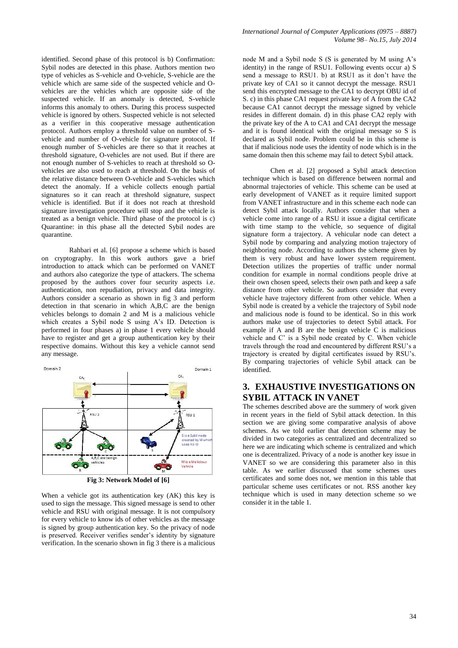identified. Second phase of this protocol is b) Confirmation: Sybil nodes are detected in this phase. Authors mention two type of vehicles as S-vehicle and O-vehicle, S-vehicle are the vehicle which are same side of the suspected vehicle and Ovehicles are the vehicles which are opposite side of the suspected vehicle. If an anomaly is detected, S-vehicle informs this anomaly to others. During this process suspected vehicle is ignored by others. Suspected vehicle is not selected as a verifier in this cooperative message authentication protocol. Authors employ a threshold value on number of Svehicle and number of O-vehicle for signature protocol. If enough number of S-vehicles are there so that it reaches at threshold signature, O-vehicles are not used. But if there are not enough number of S-vehicles to reach at threshold so Ovehicles are also used to reach at threshold. On the basis of the relative distance between O-vehicle and S-vehicles which detect the anomaly. If a vehicle collects enough partial signatures so it can reach at threshold signature, suspect vehicle is identified. But if it does not reach at threshold signature investigation procedure will stop and the vehicle is treated as a benign vehicle. Third phase of the protocol is c) Quarantine: in this phase all the detected Sybil nodes are quarantine.

Rahbari et al. [6] propose a scheme which is based on cryptography. In this work authors gave a brief introduction to attack which can be performed on VANET and authors also categorize the type of attackers. The schema proposed by the authors cover four security aspects i.e. authentication, non repudiation, privacy and data integrity. Authors consider a scenario as shown in fig 3 and perform detection in that scenario in which A,B,C are the benign vehicles belongs to domain 2 and M is a malicious vehicle which creates a Sybil node S using A's ID. Detection is performed in four phases a) in phase 1 every vehicle should have to register and get a group authentication key by their respective domains. Without this key a vehicle cannot send any message.



**Fig 3: Network Model of [6]**

When a vehicle got its authentication key (AK) this key is used to sign the message. This signed message is send to other vehicle and RSU with original message. It is not compulsory for every vehicle to know ids of other vehicles as the message is signed by group authentication key. So the privacy of node is preserved. Receiver verifies sender's identity by signature verification. In the scenario shown in fig 3 there is a malicious

node M and a Sybil node S (S is generated by M using A's identity) in the range of RSU1. Following events occur a) S send a message to RSU1. b) at RSU1 as it don't have the private key of CA1 so it cannot decrypt the message. RSU1 send this encrypted message to the CA1 to decrypt OBU id of S. c) in this phase CA1 request private key of A from the CA2 because CA1 cannot decrypt the message signed by vehicle resides in different domain. d) in this phase CA2 reply with the private key of the A to CA1 and CA1 decrypt the message and it is found identical with the original message so S is declared as Sybil node. Problem could be in this scheme is that if malicious node uses the identity of node which is in the same domain then this scheme may fail to detect Sybil attack.

Chen et al. [2] proposed a Sybil attack detection technique which is based on difference between normal and abnormal trajectories of vehicle. This scheme can be used at early development of VANET as it require limited support from VANET infrastructure and in this scheme each node can detect Sybil attack locally. Authors consider that when a vehicle come into range of a RSU it issue a digital certificate with time stamp to the vehicle, so sequence of digital signature form a trajectory. A vehicular node can detect a Sybil node by comparing and analyzing motion trajectory of neighboring node. According to authors the scheme given by them is very robust and have lower system requirement. Detection utilizes the properties of traffic under normal condition for example in normal conditions people drive at their own chosen speed, selects their own path and keep a safe distance from other vehicle. So authors consider that every vehicle have trajectory different from other vehicle. When a Sybil node is created by a vehicle the trajectory of Sybil node and malicious node is found to be identical. So in this work authors make use of trajectories to detect Sybil attack. For example if A and B are the benign vehicle C is malicious vehicle and C' is a Sybil node created by C. When vehicle travels through the road and encountered by different RSU's a trajectory is created by digital certificates issued by RSU's. By comparing trajectories of vehicle Sybil attack can be identified.

# **3. EXHAUSTIVE INVESTIGATIONS ON SYBIL ATTACK IN VANET**

The schemes described above are the summery of work given in recent years in the field of Sybil attack detection. In this section we are giving some comparative analysis of above schemes. As we told earlier that detection scheme may be divided in two categories as centralized and decentralized so here we are indicating which scheme is centralized and which one is decentralized. Privacy of a node is another key issue in VANET so we are considering this parameter also in this table. As we earlier discussed that some schemes uses certificates and some does not, we mention in this table that particular scheme uses certificates or not. RSS another key technique which is used in many detection scheme so we consider it in the table 1.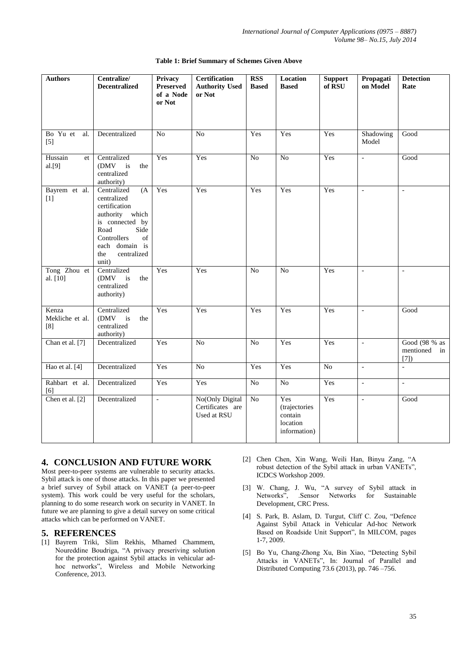| <b>Authors</b>                  | Centralize/<br><b>Decentralized</b>                                                                                                                                            | Privacy<br>Preserved<br>of a Node<br>or Not | <b>Certification</b><br><b>Authority Used</b><br>or Not | <b>RSS</b><br><b>Based</b> | Location<br><b>Based</b>                                    | <b>Support</b><br>of RSU | Propagati<br>on Model    | <b>Detection</b><br>Rate                |
|---------------------------------|--------------------------------------------------------------------------------------------------------------------------------------------------------------------------------|---------------------------------------------|---------------------------------------------------------|----------------------------|-------------------------------------------------------------|--------------------------|--------------------------|-----------------------------------------|
| Bo Yu et<br>al.<br>$[5]$        | Decentralized                                                                                                                                                                  | No                                          | N <sub>o</sub>                                          | Yes                        | Yes                                                         | Yes                      | Shadowing<br>Model       | Good                                    |
| Hussain<br>et<br>al.[9]         | Centralized<br>(DMV<br>$\mathbf{i}$ s<br>the<br>centralized<br>authority)                                                                                                      | Yes                                         | Yes                                                     | $\overline{No}$            | $\overline{No}$                                             | Yes                      | $\mathbb{L}$             | Good                                    |
| Bayrem et al.<br>$[1]$          | Centralized<br>(A)<br>centralized<br>certification<br>authority which<br>is connected by<br>Road<br>Side<br>Controllers<br>of<br>each domain is<br>centralized<br>the<br>unit) | Yes                                         | Yes                                                     | Yes                        | Yes                                                         | Yes                      | $\Box$                   | $\Box$                                  |
| Tong Zhou et<br>al. [10]        | Centralized<br>(DMV<br>is<br>the<br>centralized<br>authority)                                                                                                                  | Yes                                         | Yes                                                     | N <sub>o</sub>             | No                                                          | Yes                      | $\overline{\phantom{a}}$ | $\blacksquare$                          |
| Kenza<br>Mekliche et al.<br>[8] | Centralized<br>(DMV<br>is<br>the<br>centralized<br>authority)                                                                                                                  | Yes                                         | Yes                                                     | Yes                        | Yes                                                         | Yes                      | $\overline{\phantom{a}}$ | Good                                    |
| Chan et al. [7]                 | Decentralized                                                                                                                                                                  | Yes                                         | No                                                      | N <sub>o</sub>             | Yes                                                         | Yes                      | $\overline{\phantom{a}}$ | Good (98 % as<br>mentioned in<br>$[7])$ |
| Hao et al. [4]                  | Decentralized                                                                                                                                                                  | Yes                                         | N <sub>o</sub>                                          | Yes                        | Yes                                                         | N <sub>o</sub>           | $\overline{\phantom{a}}$ | $\mathbb{L}$                            |
| Rahbart et al.<br>[6]           | Decentralized                                                                                                                                                                  | Yes                                         | Yes                                                     | N <sub>o</sub>             | N <sub>o</sub>                                              | Yes                      | $\blacksquare$           | $\frac{1}{2}$                           |
| Chen et al. [2]                 | Decentralized                                                                                                                                                                  | $\Box$                                      | No(Only Digital<br>Certificates are<br>Used at RSU      | No                         | Yes<br>(trajectories<br>contain<br>location<br>information) | Yes                      | $\blacksquare$           | Good                                    |

#### **Table 1: Brief Summary of Schemes Given Above**

#### **4. CONCLUSION AND FUTURE WORK**

Most peer-to-peer systems are vulnerable to security attacks. Sybil attack is one of those attacks. In this paper we presented a brief survey of Sybil attack on VANET (a peer-to-peer system). This work could be very useful for the scholars, planning to do some research work on security in VANET. In future we are planning to give a detail survey on some critical attacks which can be performed on VANET.

#### **5. REFERENCES**

- [1] Bayrem Triki, Slim Rekhis, Mhamed Chammem, Noureddine Boudriga, "A privacy preseriving solution for the protection against Sybil attacks in vehicular adhoc networks", Wireless and Mobile Networking Conference, 2013.
- [2] Chen Chen, Xin Wang, Weili Han, Binyu Zang, "A robust detection of the Sybil attack in urban VANETs", ICDCS Workshop 2009.
- [3] W. Chang, J. Wu, "A survey of Sybil attack in Networks", .Sensor Networks for Sustainable Development, CRC Press.
- [4] S. Park, B. Aslam, D. Turgut, Cliff C. Zou, "Defence Against Sybil Attack in Vehicular Ad-hoc Network Based on Roadside Unit Support", In MILCOM, pages 1-7, 2009.
- [5] Bo Yu, Chang-Zhong Xu, Bin Xiao, "Detecting Sybil Attacks in VANETs", In: Journal of Parallel and Distributed Computing 73.6 (2013), pp. 746 –756.